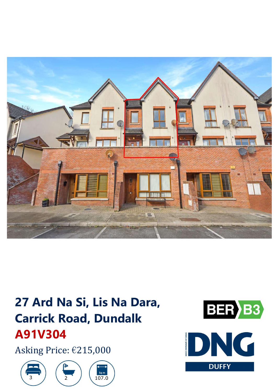

# 27 Ard Na Si, Lis Na Dara, **Carrick Road, Dundalk** A91V304

Asking Price: €215,000







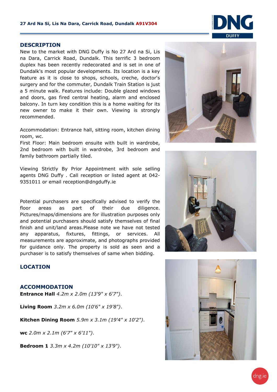#### **DESCRIPTION**

New to the market with DNG Duffy is No 27 Ard na Si, Lis na Dara, Carrick Road, Dundalk. This terrific 3 bedroom duplex has been recently redecorated and is set in one of Dundalk's most popular developments. Its location is <sup>a</sup> key feature as it is close to shops, schools, creche, doctor's surgery and for the commuter, Dundalk Train Station is just <sup>a</sup> 5 minute walk. Features include: Double glazed windows and doors, gas fired central heating, alarm and enclosed balcony. In turn key condition this is <sup>a</sup> home waiting for its new owner to make it their own. Viewing is strongly recommended.

Accommodation: Entrance hall, sitting room, kitchen dining room, wc.

First Floor: Main bedroom ensuite with built in wardrobe, 2nd bedroom with built in wardrobe, 3rd bedroom and family bathroom partially tiled.

Viewing Strictly By Prior Appointment with sole selling agents DNG Duffy . Call reception or listed agent at 042- 9351011 or email reception@dngduffy.ie

Potential purchasers are specifically advised to verify the floor areas as part of their due diligence. Pictures/maps/dimensions are for illustration purposes only and potential purchasers should satisfy themselves of final finish and unit/land areas.Please note we have not tested any apparatus, fixtures, fittings, or services. All measurements are approximate, and photographs provided for guidance only. The property is sold as seen and <sup>a</sup> purchaser is to satisfy themselves of same when bidding.



#### **ACCOMMODATION**

**Entrance Hall** *4.2m <sup>x</sup> 2.0m (13'9" x 6'7")*.

**Living Room** *3.2m <sup>x</sup> 6.0m (10'6" x 19'8")*.

**Kitchen Dining Room** *5.9m x 3.1m (19'4" x 10'2")*.

**wc** *2.0m x 2.1m (6'7" x 6'11")*.

**Bedroom 1** *3.3m x 4.2m (10'10" x 13'9")*.







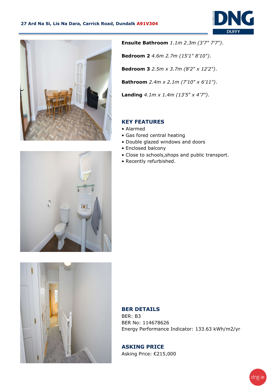



**Ensuite Bathroom** *1.1m 2.3m (3'7" 7'7")*. **Bedroom 2** *4.6m 2.7m (15'1" 8'10")*. **Bedroom 3** *2.5m x 3.7m (8'2" x 12'2")*. **Bathroom** *2.4m x 2.1m (7'10" x 6'11")*. **Landing** *4.1m x 1.4m (13'5" <sup>x</sup> 4'7")*.

### **KEY FEATURES**

- Alarmed
- Gas fored central heating
- Double glazed windows and doors
- Enclosed balcony
- Close to schools,shops and public transport.
- Recently refurbished.





## **BER DETAILS**

BER: B3 BER No: 114678626 Energy Performance Indicator: 133.63 kWh/m2/yr

**ASKING PRICE** Asking Price: €215,000